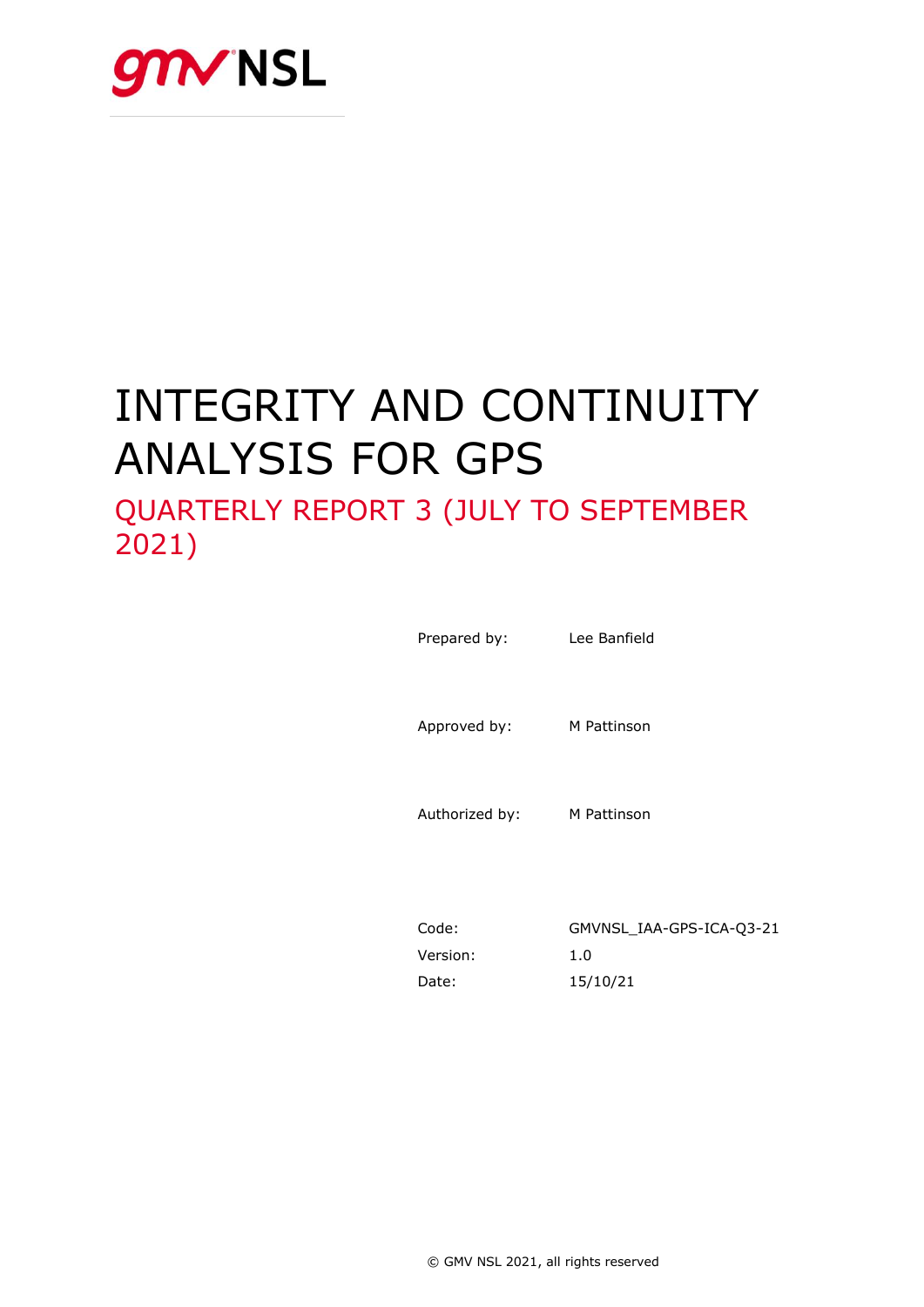

# INTEGRITY AND CONTINUITY ANALYSIS FOR GPS

# QUARTERLY REPORT 3 (JULY TO SEPTEMBER 2021)

| Prepared by:   | Lee Banfield |
|----------------|--------------|
| Approved by:   | M Pattinson  |
| Authorized by: | M Pattinson  |
|                |              |

| Code:    | GMVNSL IAA-GPS-ICA-03-21 |
|----------|--------------------------|
| Version: | 1.0                      |
| Date:    | 15/10/21                 |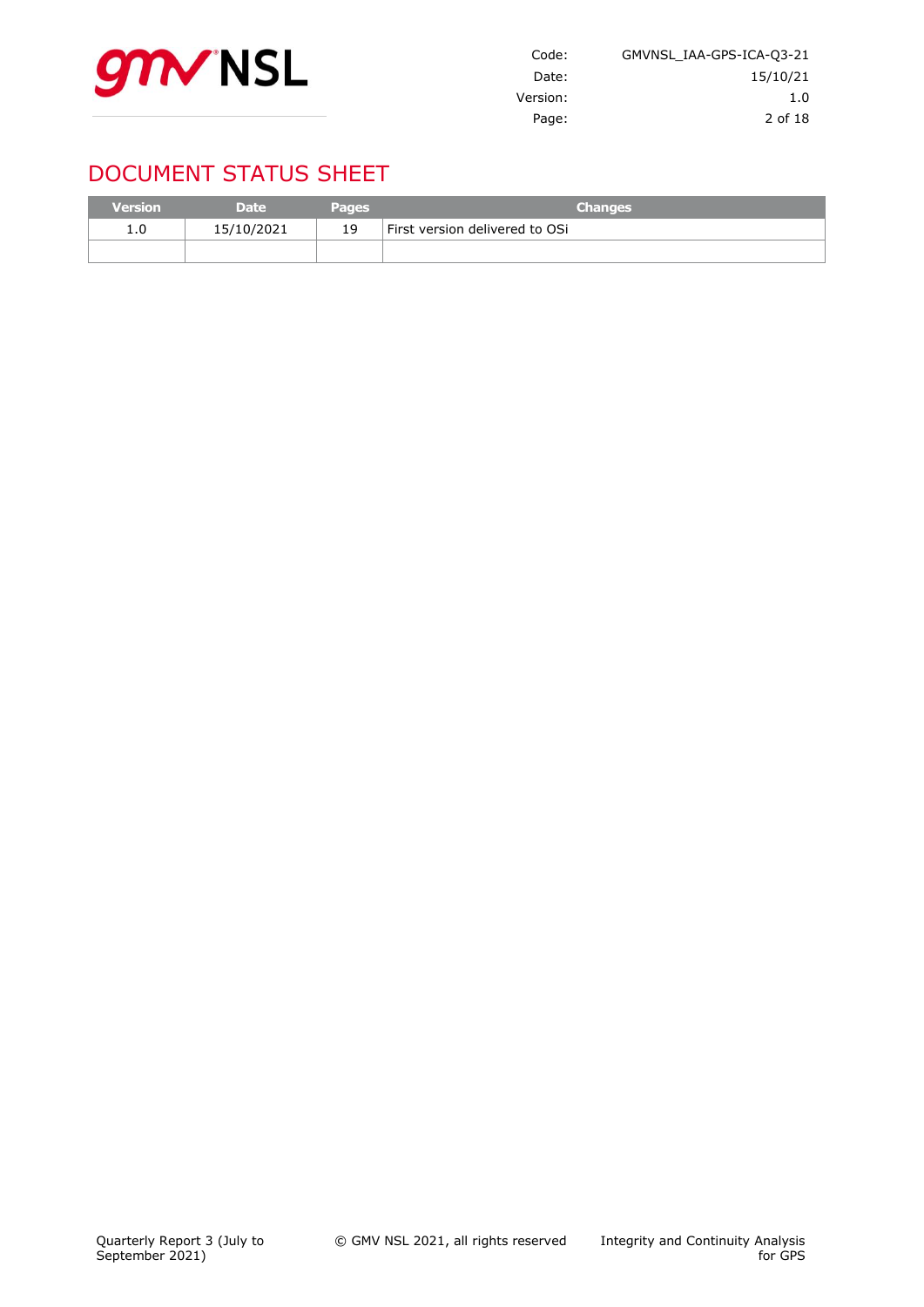

| Code:    | GMVNSL IAA-GPS-ICA-03-21 |
|----------|--------------------------|
| Date:    | 15/10/21                 |
| Version: | 1.0                      |
| Page:    | 2 of 18                  |

# DOCUMENT STATUS SHEET

| <b>Version</b> | <b>Date</b> | <b>Pages</b> | <b>Changes</b>                 |
|----------------|-------------|--------------|--------------------------------|
| 1.0            | 15/10/2021  | 19           | First version delivered to OSi |
|                |             |              |                                |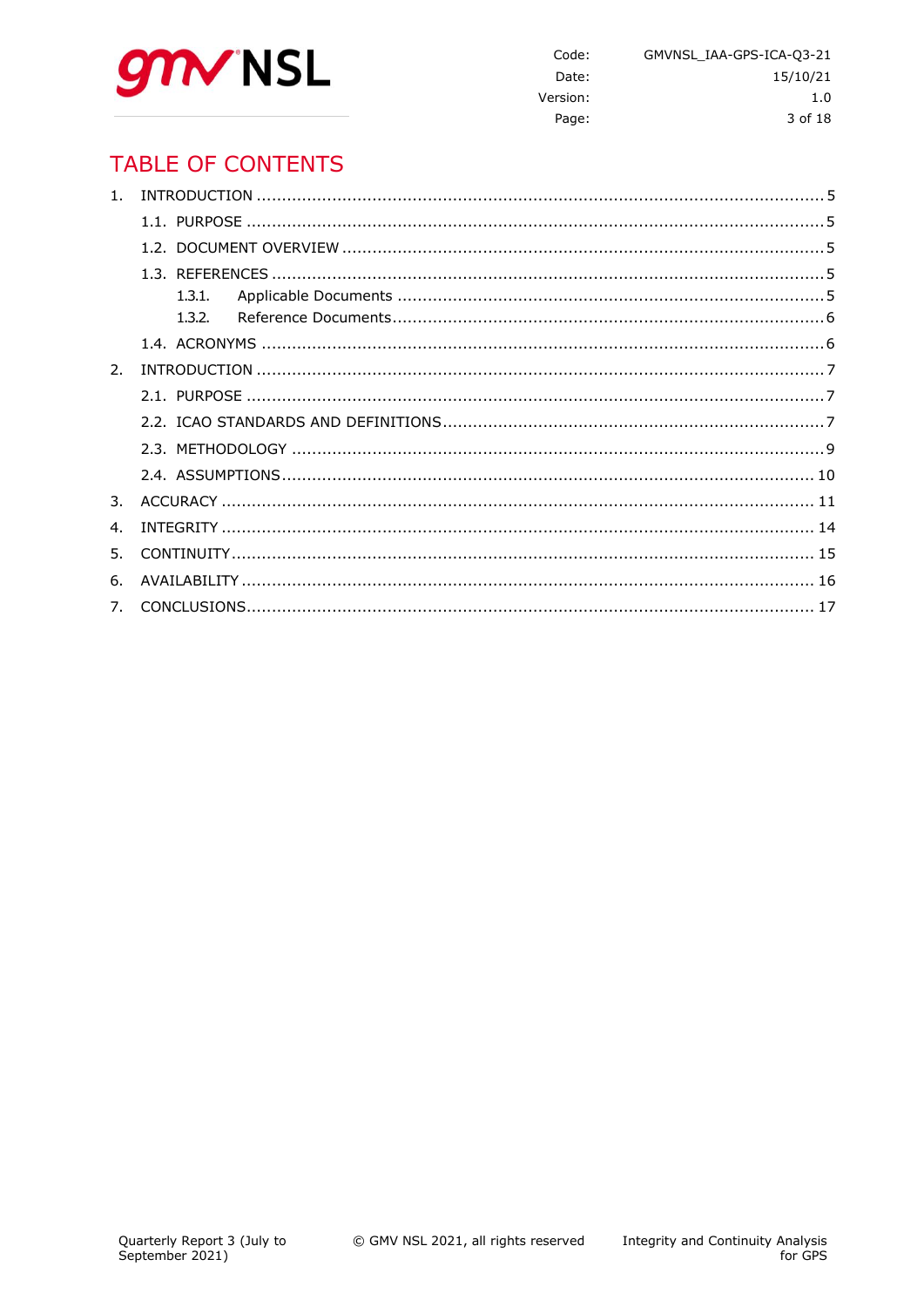

Code: GMVNSL\_IAA-GPS-ICA-Q3-21 Date: 15/10/21 Version:  $1.0$ Page: 3 of 18

# **TABLE OF CONTENTS**

| 1 <sup>1</sup>              |  |
|-----------------------------|--|
|                             |  |
|                             |  |
|                             |  |
|                             |  |
|                             |  |
|                             |  |
| $\mathcal{P}_{\mathcal{L}}$ |  |
|                             |  |
|                             |  |
|                             |  |
|                             |  |
| 3.                          |  |
| $\mathbf{4}$ .              |  |
| 5.                          |  |
| 6.                          |  |
|                             |  |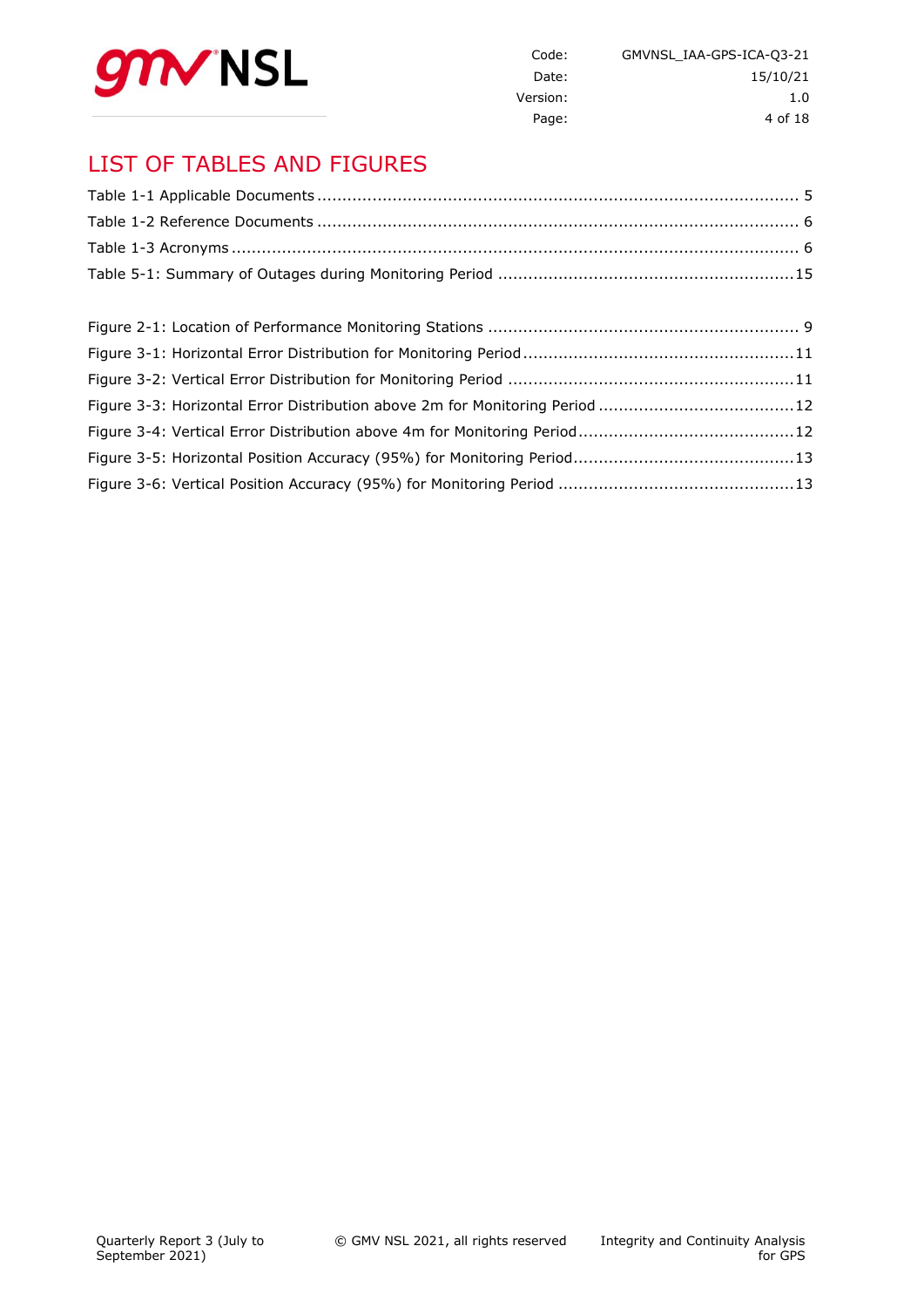

| GMVNSL IAA-GPS-ICA-Q3-21 | Code:    |
|--------------------------|----------|
| 15/10/21                 | Date:    |
| 1. $\Omega$              | Version: |
| 4 of 18                  | Page:    |

# LIST OF TABLES AND FIGURES

| Figure 3-3: Horizontal Error Distribution above 2m for Monitoring Period 12 |  |
|-----------------------------------------------------------------------------|--|
|                                                                             |  |
|                                                                             |  |
|                                                                             |  |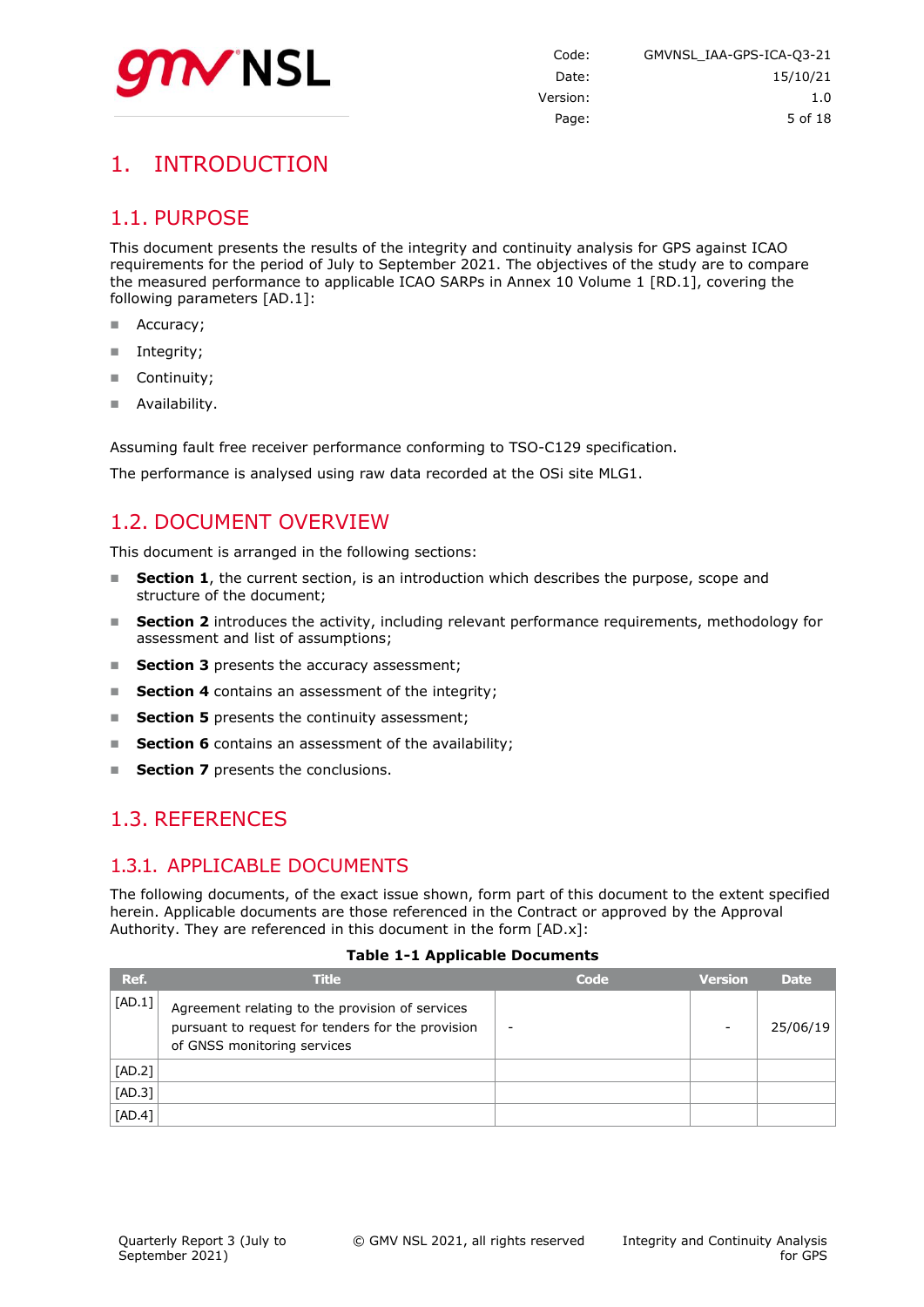

# <span id="page-4-0"></span>1. INTRODUCTION

### <span id="page-4-1"></span>1.1. PURPOSE

This document presents the results of the integrity and continuity analysis for GPS against ICAO requirements for the period of July to September 2021. The objectives of the study are to compare the measured performance to applicable ICAO SARPs in Annex 10 Volume 1 [RD.1], covering the following parameters [AD.1]:

- Accuracy;
- Integrity;
- Continuity;
- Availability.

Assuming fault free receiver performance conforming to TSO-C129 specification.

<span id="page-4-2"></span>The performance is analysed using raw data recorded at the OSi site MLG1.

### 1.2. DOCUMENT OVERVIEW

This document is arranged in the following sections:

- **Section 1**, the current section, is an introduction which describes the purpose, scope and structure of the document;
- **Section 2** introduces the activity, including relevant performance requirements, methodology for assessment and list of assumptions;
- **Section 3** presents the accuracy assessment;
- **Section 4** contains an assessment of the integrity;
- **Section 5** presents the continuity assessment;
- **Section 6** contains an assessment of the availability;
- <span id="page-4-3"></span>**Section 7** presents the conclusions.

### 1.3. REFERENCES

### <span id="page-4-4"></span>1.3.1. APPLICABLE DOCUMENTS

The following documents, of the exact issue shown, form part of this document to the extent specified herein. Applicable documents are those referenced in the Contract or approved by the Approval Authority. They are referenced in this document in the form [AD.x]:

#### **Table 1-1 Applicable Documents**

<span id="page-4-5"></span>

| Ref.     | <b>Title</b>                                                                                                                        | Code | <b>Version</b> | <b>Date</b> |
|----------|-------------------------------------------------------------------------------------------------------------------------------------|------|----------------|-------------|
| [AD.1]   | Agreement relating to the provision of services<br>pursuant to request for tenders for the provision<br>of GNSS monitoring services |      | ۰              | 25/06/19    |
| $[AD.2]$ |                                                                                                                                     |      |                |             |
| $[AD.3]$ |                                                                                                                                     |      |                |             |
| [AD.4]   |                                                                                                                                     |      |                |             |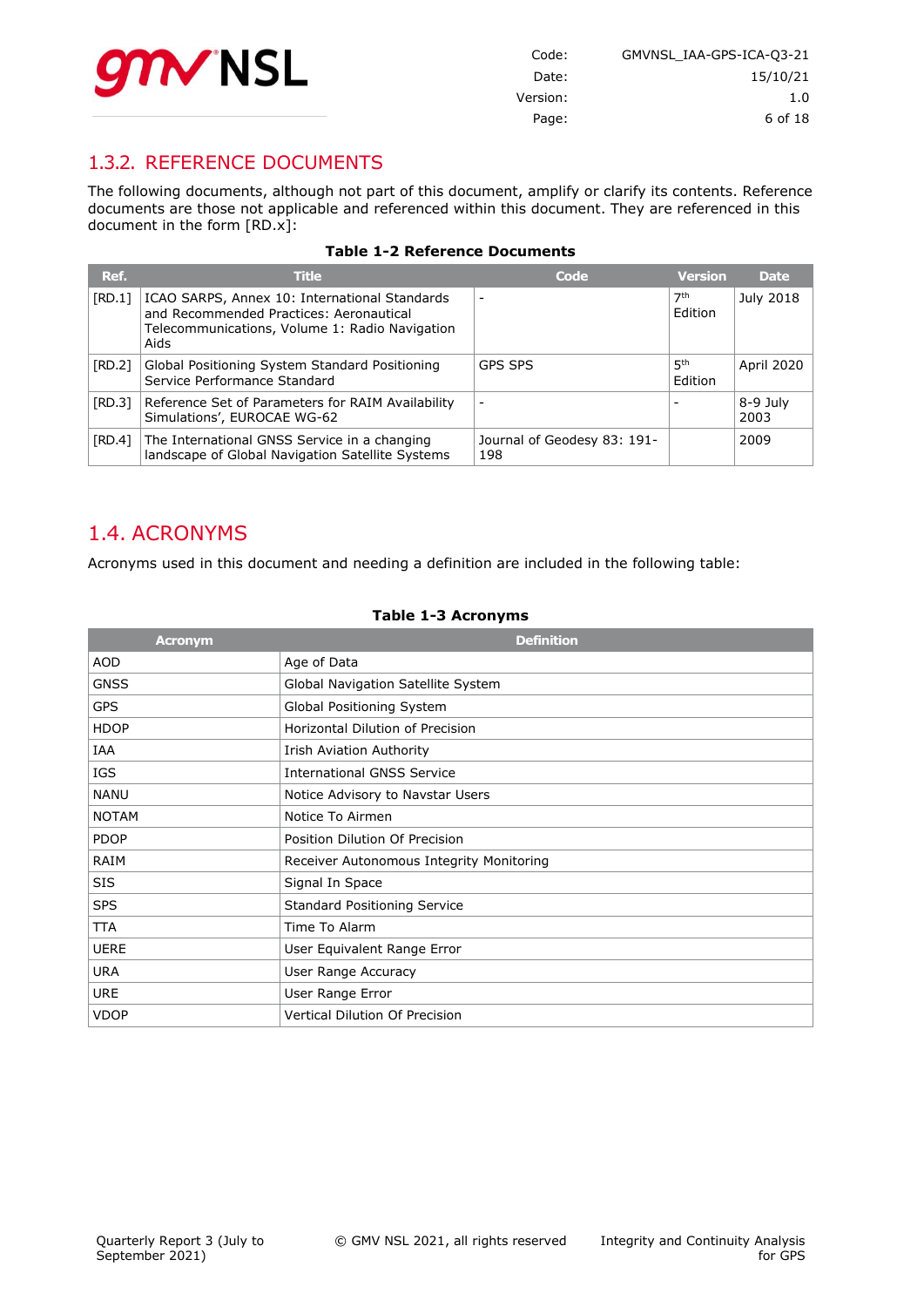

| Code:    | GMVNSL IAA-GPS-ICA-03-21 |
|----------|--------------------------|
| Date:    | 15/10/21                 |
| Version: | 1.0                      |
| Page:    | 6 of 18                  |

### <span id="page-5-0"></span>1.3.2. REFERENCE DOCUMENTS

The following documents, although not part of this document, amplify or clarify its contents. Reference documents are those not applicable and referenced within this document. They are referenced in this document in the form [RD.x]:

<span id="page-5-2"></span>

| Ref.   | <b>Title</b>                                                                                                                                       | Code                               | <b>Version</b>             | <b>Date</b>       |
|--------|----------------------------------------------------------------------------------------------------------------------------------------------------|------------------------------------|----------------------------|-------------------|
| [RD.1] | ICAO SARPS, Annex 10: International Standards<br>and Recommended Practices: Aeronautical<br>Telecommunications, Volume 1: Radio Navigation<br>Aids |                                    | 7 <sup>th</sup><br>Edition | July 2018         |
| [RD.2] | Global Positioning System Standard Positioning<br>Service Performance Standard                                                                     | <b>GPS SPS</b>                     | 5 <sup>th</sup><br>Edition | <b>April 2020</b> |
| [RD.3] | Reference Set of Parameters for RAIM Availability<br>Simulations', EUROCAE WG-62                                                                   |                                    |                            | 8-9 July<br>2003  |
| [RD.4] | The International GNSS Service in a changing<br>landscape of Global Navigation Satellite Systems                                                   | Journal of Geodesy 83: 191-<br>198 |                            | 2009              |

#### **Table 1-2 Reference Documents**

### <span id="page-5-1"></span>1.4. ACRONYMS

Acronyms used in this document and needing a definition are included in the following table:

#### **Table 1-3 Acronyms**

<span id="page-5-3"></span>

| <b>Acronym</b> | <b>Definition</b>                        |
|----------------|------------------------------------------|
| <b>AOD</b>     | Age of Data                              |
| <b>GNSS</b>    | Global Navigation Satellite System       |
| <b>GPS</b>     | Global Positioning System                |
| <b>HDOP</b>    | Horizontal Dilution of Precision         |
| IAA            | Irish Aviation Authority                 |
| IGS            | <b>International GNSS Service</b>        |
| <b>NANU</b>    | Notice Advisory to Navstar Users         |
| <b>NOTAM</b>   | Notice To Airmen                         |
| <b>PDOP</b>    | Position Dilution Of Precision           |
| RAIM           | Receiver Autonomous Integrity Monitoring |
| <b>SIS</b>     | Signal In Space                          |
| <b>SPS</b>     | <b>Standard Positioning Service</b>      |
| <b>TTA</b>     | Time To Alarm                            |
| <b>UERE</b>    | User Equivalent Range Error              |
| <b>URA</b>     | User Range Accuracy                      |
| <b>URE</b>     | User Range Error                         |
| <b>VDOP</b>    | <b>Vertical Dilution Of Precision</b>    |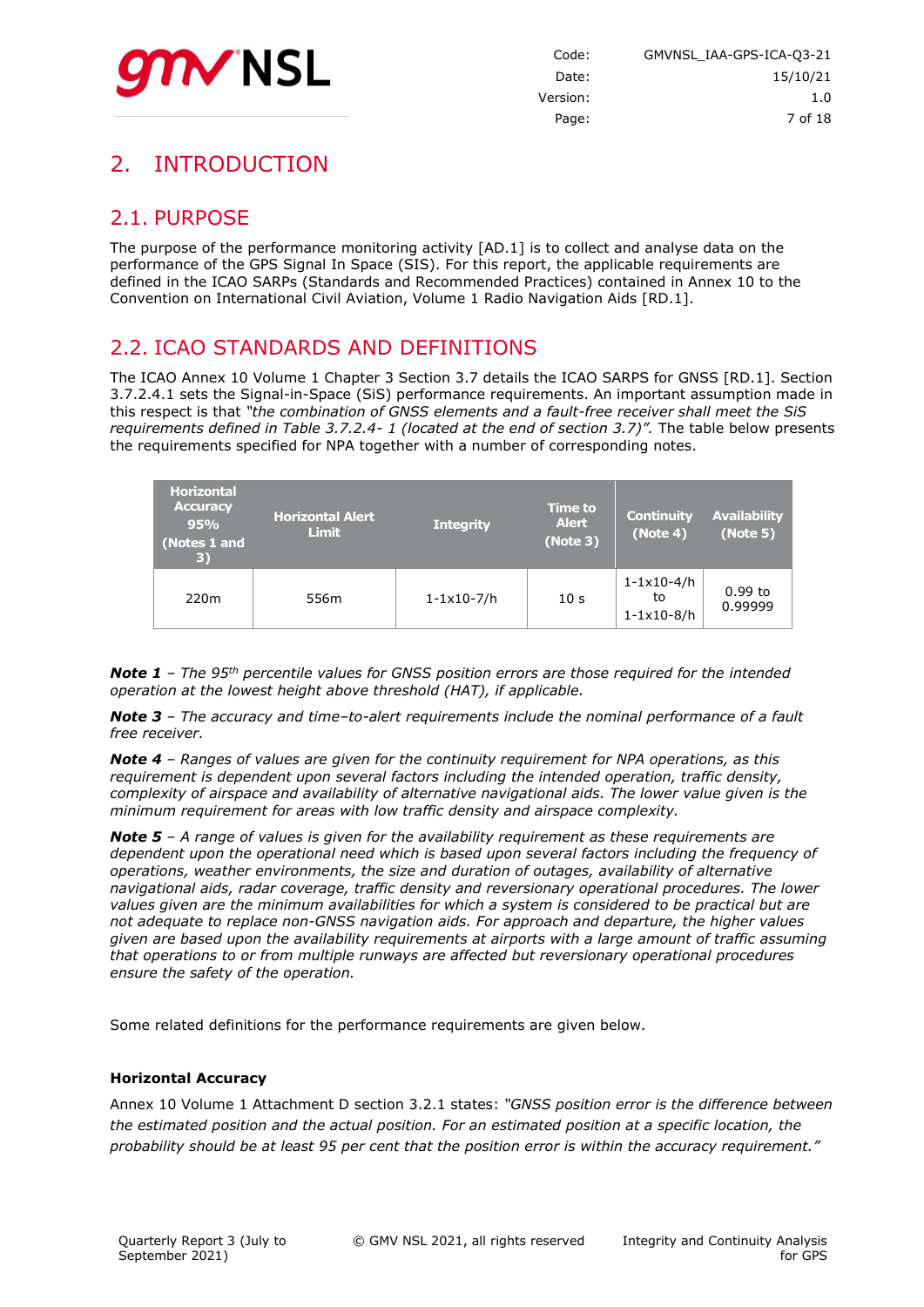

# <span id="page-6-0"></span>2. INTRODUCTION

# <span id="page-6-1"></span>2.1. PURPOSE

The purpose of the performance monitoring activity [AD.1] is to collect and analyse data on the performance of the GPS Signal In Space (SIS). For this report, the applicable requirements are defined in the ICAO SARPs (Standards and Recommended Practices) contained in Annex 10 to the Convention on International Civil Aviation, Volume 1 Radio Navigation Aids [RD.1].

### <span id="page-6-2"></span>2.2. ICAO STANDARDS AND DEFINITIONS

The ICAO Annex 10 Volume 1 Chapter 3 Section 3.7 details the ICAO SARPS for GNSS [RD.1]. Section 3.7.2.4.1 sets the Signal-in-Space (SiS) performance requirements. An important assumption made in this respect is that *"the combination of GNSS elements and a fault-free receiver shall meet the SiS requirements defined in Table 3.7.2.4- 1 (located at the end of section 3.7)".* The table below presents the requirements specified for NPA together with a number of corresponding notes.

| <b>Horizontal</b><br><b>Accuracy</b><br>95%<br>(Notes 1 and<br>$\vert 3)$ | <b>Horizontal Alert</b><br><b>Limit</b> | <b>Integrity</b>        | <b>Time to</b><br><b>Alert</b><br>(Note 3) | <b>Continuity</b><br>(Note 4)                            | <b>Availability</b><br>(Note 5) |
|---------------------------------------------------------------------------|-----------------------------------------|-------------------------|--------------------------------------------|----------------------------------------------------------|---------------------------------|
| 220 <sub>m</sub>                                                          | 556m                                    | $1 - 1 \times 10 - 7/h$ | 10 <sub>s</sub>                            | $1 - 1 \times 10 - 4/h$<br>to<br>$1 - 1 \times 10 - 8/h$ | $0.99$ to<br>0.99999            |

*Note 1 – The 95th percentile values for GNSS position errors are those required for the intended operation at the lowest height above threshold (HAT), if applicable.*

*Note 3 – The accuracy and time–to-alert requirements include the nominal performance of a fault free receiver.*

*Note 4 – Ranges of values are given for the continuity requirement for NPA operations, as this requirement is dependent upon several factors including the intended operation, traffic density, complexity of airspace and availability of alternative navigational aids. The lower value given is the minimum requirement for areas with low traffic density and airspace complexity.*

*Note 5 – A range of values is given for the availability requirement as these requirements are dependent upon the operational need which is based upon several factors including the frequency of operations, weather environments, the size and duration of outages, availability of alternative navigational aids, radar coverage, traffic density and reversionary operational procedures. The lower values given are the minimum availabilities for which a system is considered to be practical but are not adequate to replace non-GNSS navigation aids. For approach and departure, the higher values given are based upon the availability requirements at airports with a large amount of traffic assuming that operations to or from multiple runways are affected but reversionary operational procedures ensure the safety of the operation.*

Some related definitions for the performance requirements are given below.

#### **Horizontal Accuracy**

Annex 10 Volume 1 Attachment D section 3.2.1 states: *"GNSS position error is the difference between the estimated position and the actual position. For an estimated position at a specific location, the probability should be at least 95 per cent that the position error is within the accuracy requirement."*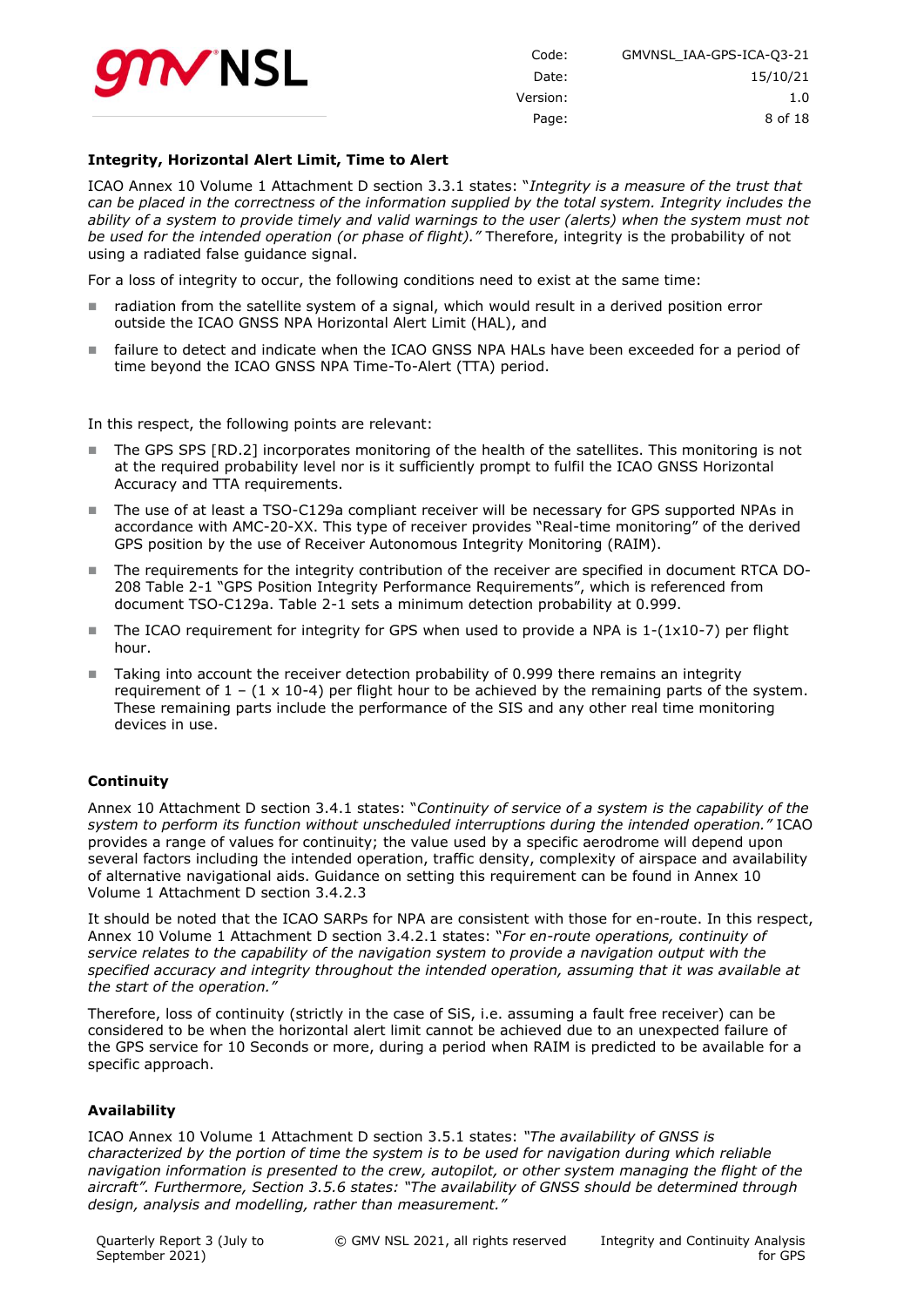

| Code:    | GMVNSL IAA-GPS-ICA-03-21 |
|----------|--------------------------|
| Date:    | 15/10/21                 |
| Version: | 1.0                      |
| Page:    | 8 of 18                  |

#### **Integrity, Horizontal Alert Limit, Time to Alert**

ICAO Annex 10 Volume 1 Attachment D section 3.3.1 states: "*Integrity is a measure of the trust that can be placed in the correctness of the information supplied by the total system. Integrity includes the ability of a system to provide timely and valid warnings to the user (alerts) when the system must not be used for the intended operation (or phase of flight)."* Therefore, integrity is the probability of not using a radiated false guidance signal.

For a loss of integrity to occur, the following conditions need to exist at the same time:

- radiation from the satellite system of a signal, which would result in a derived position error outside the ICAO GNSS NPA Horizontal Alert Limit (HAL), and
- failure to detect and indicate when the ICAO GNSS NPA HALs have been exceeded for a period of time beyond the ICAO GNSS NPA Time-To-Alert (TTA) period.

In this respect, the following points are relevant:

- The GPS SPS [RD.2] incorporates monitoring of the health of the satellites. This monitoring is not at the required probability level nor is it sufficiently prompt to fulfil the ICAO GNSS Horizontal Accuracy and TTA requirements.
- The use of at least a TSO-C129a compliant receiver will be necessary for GPS supported NPAs in accordance with AMC-20-XX. This type of receiver provides "Real-time monitoring" of the derived GPS position by the use of Receiver Autonomous Integrity Monitoring (RAIM).
- The requirements for the integrity contribution of the receiver are specified in document RTCA DO-208 Table 2-1 "GPS Position Integrity Performance Requirements", which is referenced from document TSO-C129a. Table 2-1 sets a minimum detection probability at 0.999.
- The ICAO requirement for integrity for GPS when used to provide a NPA is  $1-(1\times10-7)$  per flight hour.
- Taking into account the receiver detection probability of 0.999 there remains an integrity requirement of  $1 - (1 \times 10^{-4})$  per flight hour to be achieved by the remaining parts of the system. These remaining parts include the performance of the SIS and any other real time monitoring devices in use.

#### **Continuity**

Annex 10 Attachment D section 3.4.1 states: "*Continuity of service of a system is the capability of the system to perform its function without unscheduled interruptions during the intended operation."* ICAO provides a range of values for continuity; the value used by a specific aerodrome will depend upon several factors including the intended operation, traffic density, complexity of airspace and availability of alternative navigational aids. Guidance on setting this requirement can be found in Annex 10 Volume 1 Attachment D section 3.4.2.3

It should be noted that the ICAO SARPs for NPA are consistent with those for en-route. In this respect, Annex 10 Volume 1 Attachment D section 3.4.2.1 states: "*For en-route operations, continuity of service relates to the capability of the navigation system to provide a navigation output with the specified accuracy and integrity throughout the intended operation, assuming that it was available at the start of the operation."*

Therefore, loss of continuity (strictly in the case of SiS, i.e. assuming a fault free receiver) can be considered to be when the horizontal alert limit cannot be achieved due to an unexpected failure of the GPS service for 10 Seconds or more, during a period when RAIM is predicted to be available for a specific approach.

#### **Availability**

ICAO Annex 10 Volume 1 Attachment D section 3.5.1 states: *"The availability of GNSS is characterized by the portion of time the system is to be used for navigation during which reliable navigation information is presented to the crew, autopilot, or other system managing the flight of the aircraft". Furthermore, Section 3.5.6 states: "The availability of GNSS should be determined through design, analysis and modelling, rather than measurement."*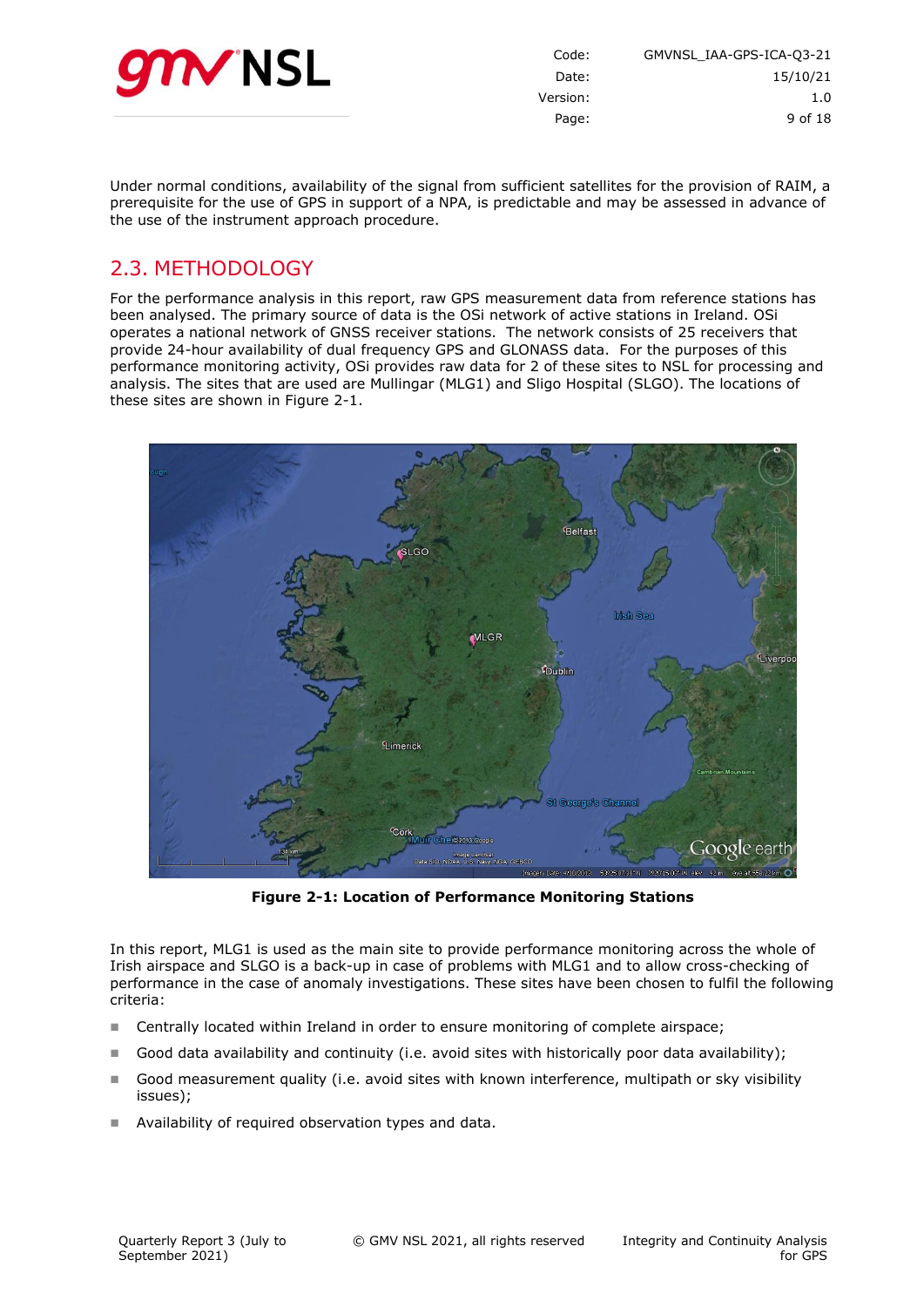

| Code:<br>GMVNSL IAA-GPS-ICA-Q3-21 |     |
|-----------------------------------|-----|
| 15/10/21<br>Date:                 |     |
| Version:                          | 1.0 |
| 9 of 18<br>Page:                  |     |
|                                   |     |

Under normal conditions, availability of the signal from sufficient satellites for the provision of RAIM, a prerequisite for the use of GPS in support of a NPA, is predictable and may be assessed in advance of the use of the instrument approach procedure.

# <span id="page-8-0"></span>2.3. METHODOLOGY

For the performance analysis in this report, raw GPS measurement data from reference stations has been analysed. The primary source of data is the OSi network of active stations in Ireland. OSi operates a national network of GNSS receiver stations. The network consists of 25 receivers that provide 24-hour availability of dual frequency GPS and GLONASS data. For the purposes of this performance monitoring activity, OSi provides raw data for 2 of these sites to NSL for processing and analysis. The sites that are used are Mullingar (MLG1) and Sligo Hospital (SLGO). The locations of these sites are shown in [Figure 2-1.](#page-8-1)



**Figure 2-1: Location of Performance Monitoring Stations**

<span id="page-8-1"></span>In this report, MLG1 is used as the main site to provide performance monitoring across the whole of Irish airspace and SLGO is a back-up in case of problems with MLG1 and to allow cross-checking of performance in the case of anomaly investigations. These sites have been chosen to fulfil the following criteria:

- Centrally located within Ireland in order to ensure monitoring of complete airspace;
- Good data availability and continuity (i.e. avoid sites with historically poor data availability);
- Good measurement quality (i.e. avoid sites with known interference, multipath or sky visibility issues);
- Availability of required observation types and data.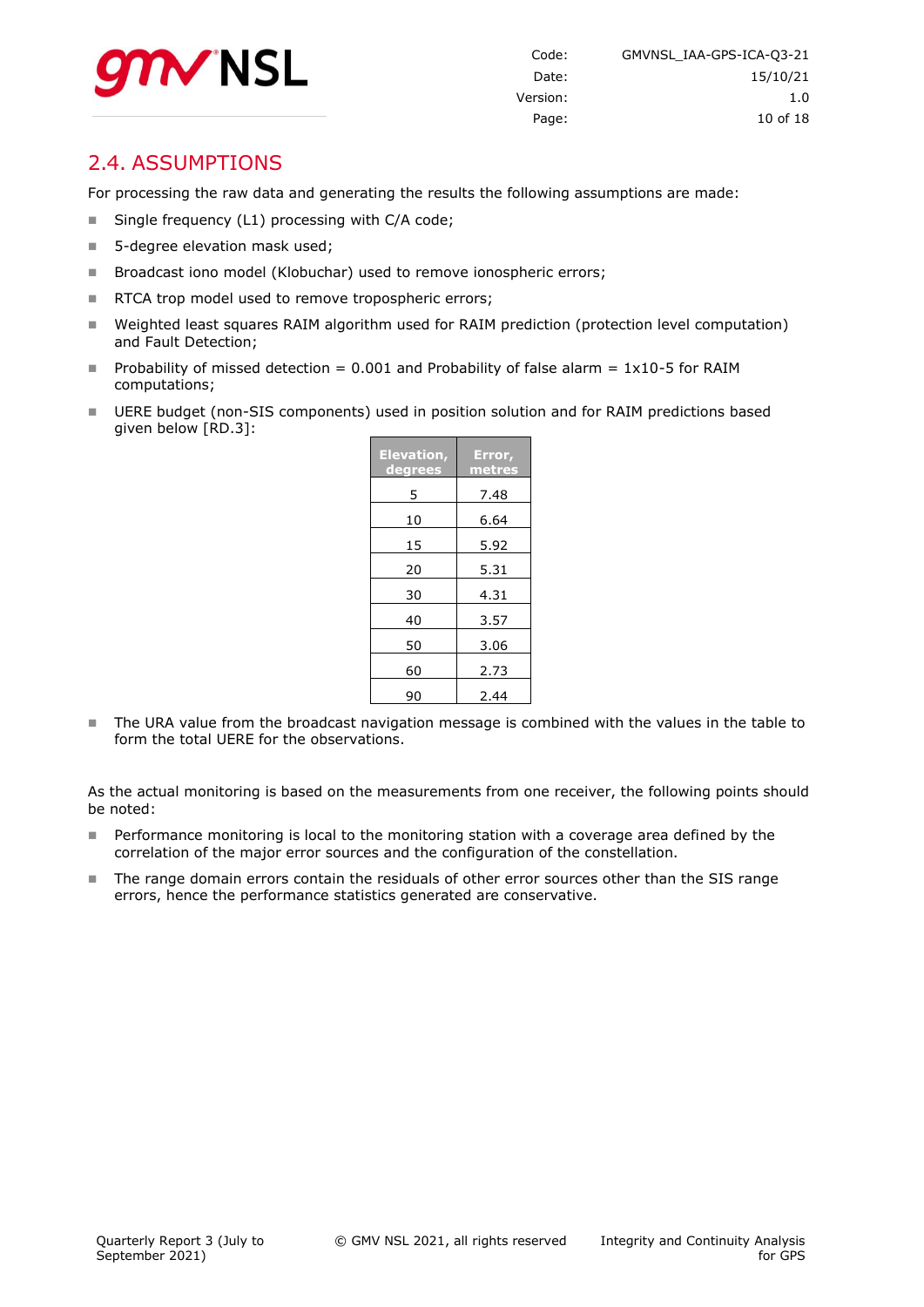

### <span id="page-9-0"></span>2.4. ASSUMPTIONS

For processing the raw data and generating the results the following assumptions are made:

- Single frequency (L1) processing with C/A code;
- 5-degree elevation mask used;
- Broadcast iono model (Klobuchar) used to remove ionospheric errors;
- RTCA trop model used to remove tropospheric errors;
- Weighted least squares RAIM algorithm used for RAIM prediction (protection level computation) and Fault Detection;
- Probability of missed detection =  $0.001$  and Probability of false alarm =  $1x10-5$  for RAIM computations;
- UERE budget (non-SIS components) used in position solution and for RAIM predictions based given below [RD.3]:

| <b>Elevation,</b><br>degrees | Error,<br>metres |
|------------------------------|------------------|
| 5                            | 7.48             |
| 10                           | 6.64             |
| 15                           | 5.92             |
| 20                           | 5.31             |
| 30                           | 4.31             |
| 40                           | 3.57             |
| 50                           | 3.06             |
| 60                           | 2.73             |
| 90                           | 2.44             |

The URA value from the broadcast navigation message is combined with the values in the table to form the total UERE for the observations.

As the actual monitoring is based on the measurements from one receiver, the following points should be noted:

- **Performance monitoring is local to the monitoring station with a coverage area defined by the** correlation of the major error sources and the configuration of the constellation.
- The range domain errors contain the residuals of other error sources other than the SIS range errors, hence the performance statistics generated are conservative.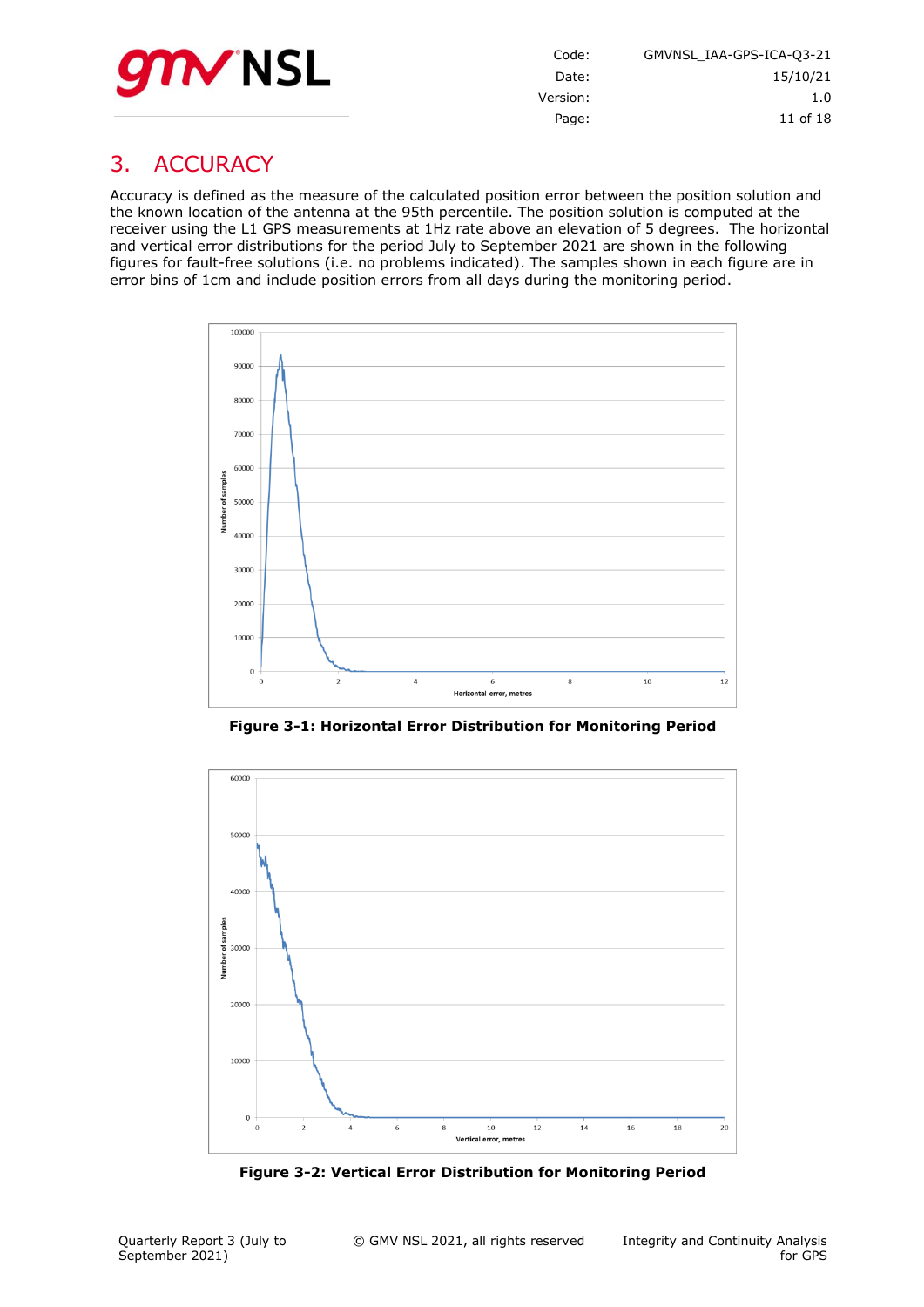

Code: GMVNSL\_IAA-GPS-ICA-Q3-21 Date: 15/10/21 Version: 1.0 Page: 11 of [18](#page-17-0)

# <span id="page-10-0"></span>3. ACCURACY

Accuracy is defined as the measure of the calculated position error between the position solution and the known location of the antenna at the 95th percentile. The position solution is computed at the receiver using the L1 GPS measurements at 1Hz rate above an elevation of 5 degrees. The horizontal and vertical error distributions for the period July to September 2021 are shown in the following figures for fault-free solutions (i.e. no problems indicated). The samples shown in each figure are in error bins of 1cm and include position errors from all days during the monitoring period.



**Figure 3-1: Horizontal Error Distribution for Monitoring Period**

<span id="page-10-1"></span>

<span id="page-10-2"></span>**Figure 3-2: Vertical Error Distribution for Monitoring Period**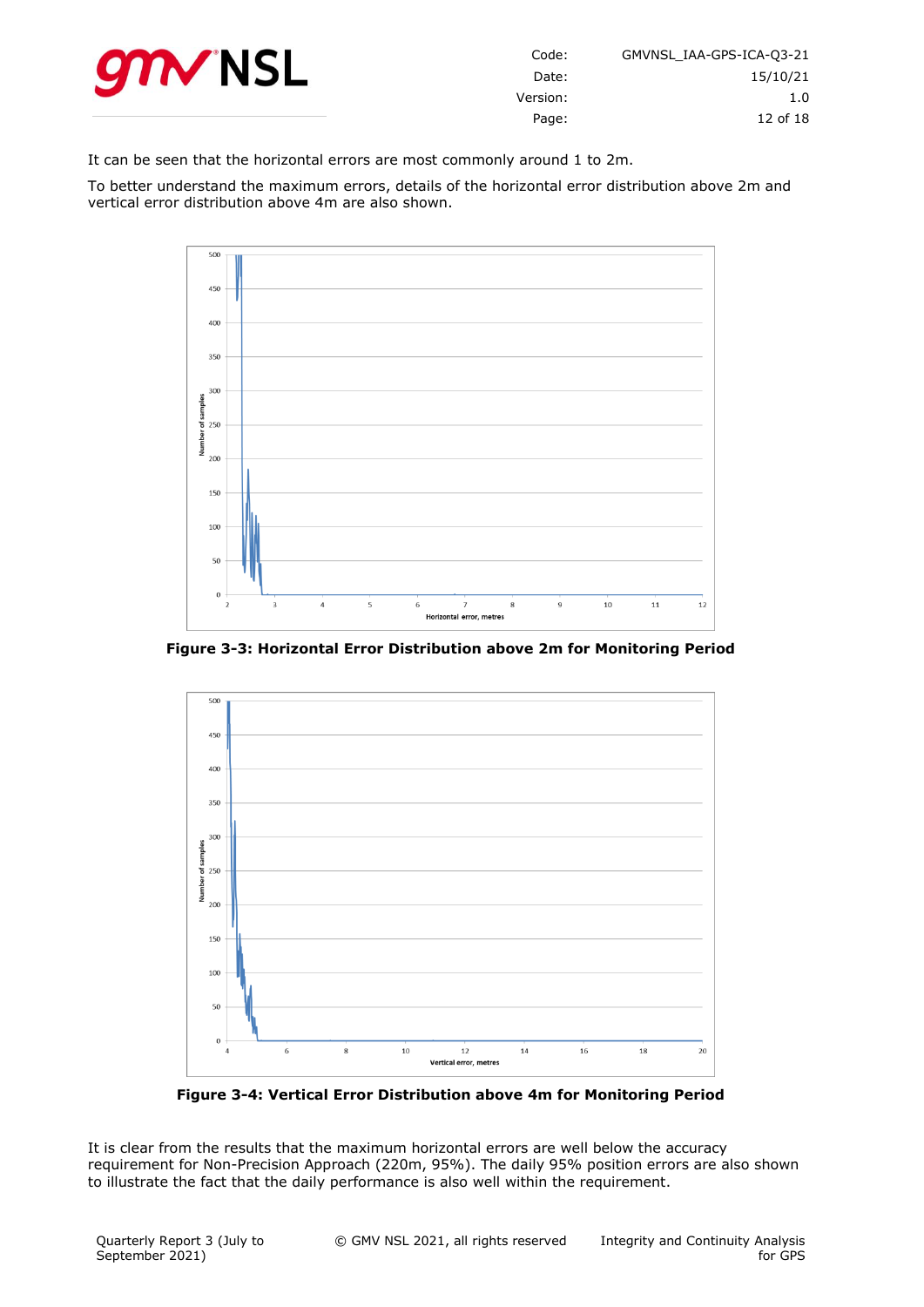

| GMVNSL IAA-GPS-ICA-03-21 | Code:    |
|--------------------------|----------|
| 15/10/21                 | Date:    |
| 1.0                      | Version: |
| 12 of 18                 | Page:    |

It can be seen that the horizontal errors are most commonly around 1 to 2m.

To better understand the maximum errors, details of the horizontal error distribution above 2m and vertical error distribution above 4m are also shown.



<span id="page-11-0"></span>**Figure 3-3: Horizontal Error Distribution above 2m for Monitoring Period**



**Figure 3-4: Vertical Error Distribution above 4m for Monitoring Period**

<span id="page-11-1"></span>It is clear from the results that the maximum horizontal errors are well below the accuracy requirement for Non-Precision Approach (220m, 95%). The daily 95% position errors are also shown to illustrate the fact that the daily performance is also well within the requirement.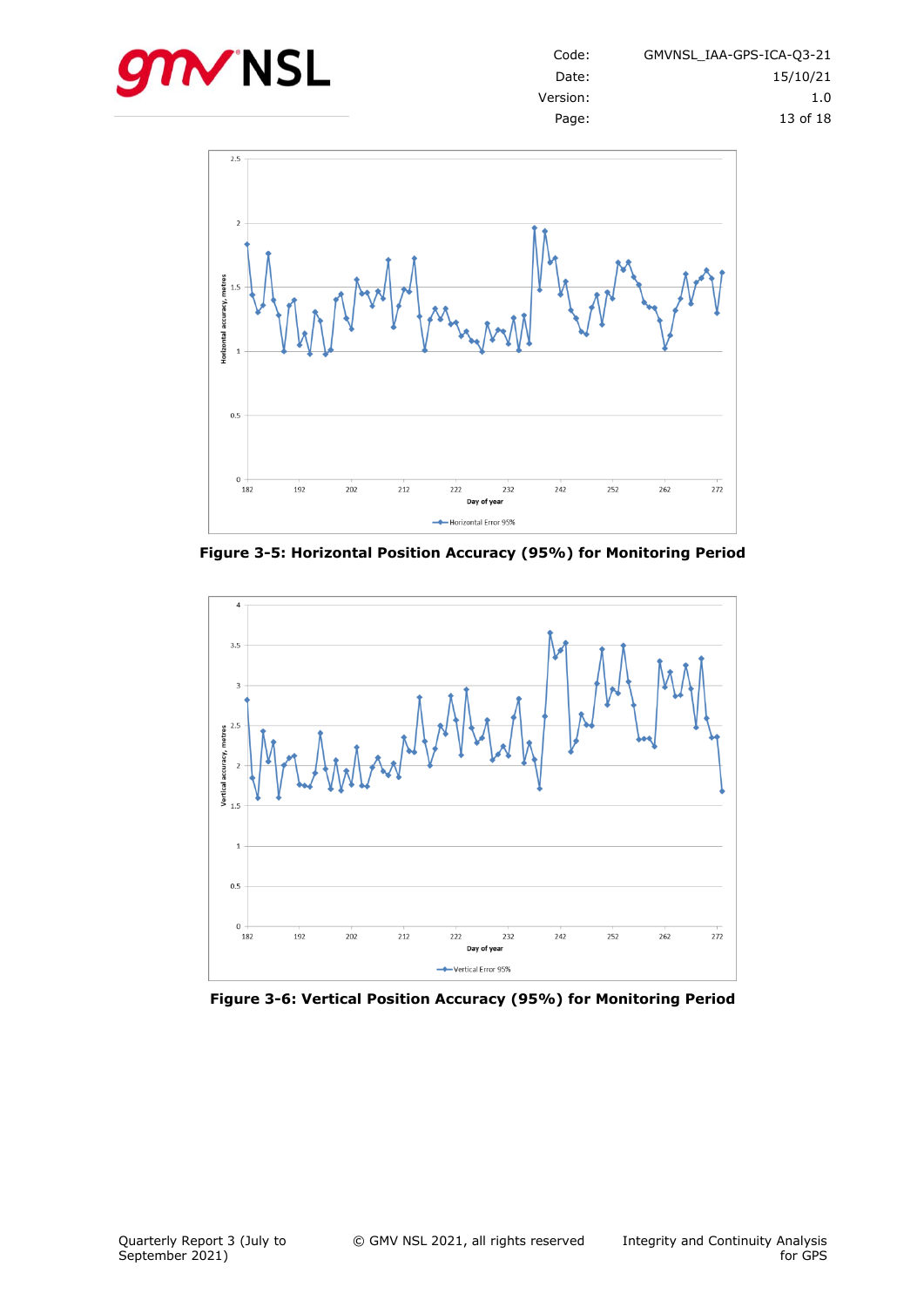



<span id="page-12-0"></span>**Figure 3-5: Horizontal Position Accuracy (95%) for Monitoring Period**



<span id="page-12-1"></span>**Figure 3-6: Vertical Position Accuracy (95%) for Monitoring Period**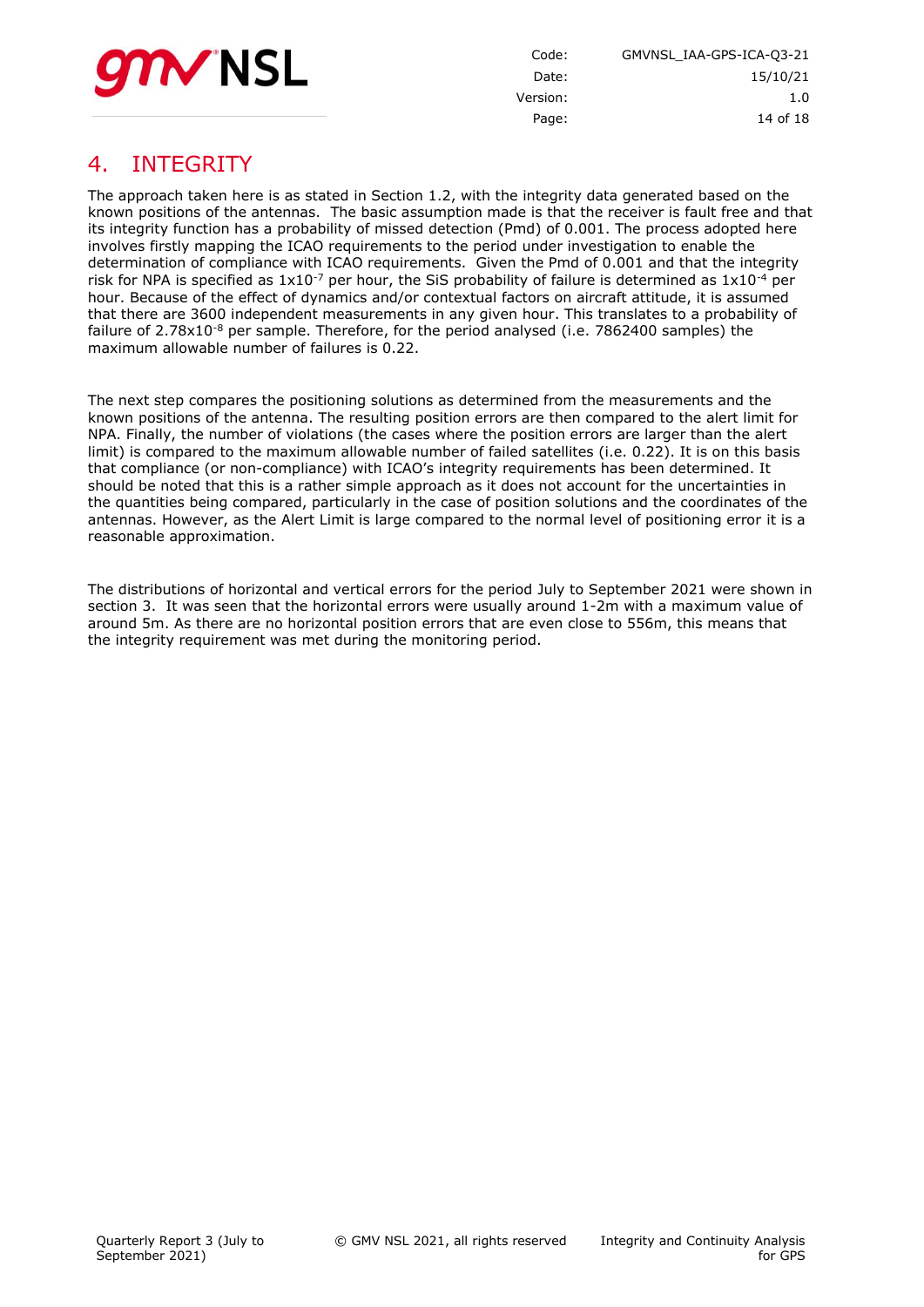

Code: GMVNSL\_IAA-GPS-ICA-Q3-21 Date: 15/10/21 Version: 1.0 Page: 14 of [18](#page-17-0)

# <span id="page-13-0"></span>4. INTEGRITY

The approach taken here is as stated in Section 1.2, with the integrity data generated based on the known positions of the antennas. The basic assumption made is that the receiver is fault free and that its integrity function has a probability of missed detection (Pmd) of 0.001. The process adopted here involves firstly mapping the ICAO requirements to the period under investigation to enable the determination of compliance with ICAO requirements. Given the Pmd of 0.001 and that the integrity risk for NPA is specified as  $1x10^{-7}$  per hour, the SiS probability of failure is determined as  $1x10^{-4}$  per hour. Because of the effect of dynamics and/or contextual factors on aircraft attitude, it is assumed that there are 3600 independent measurements in any given hour. This translates to a probability of failure of  $2.78 \times 10^{-8}$  per sample. Therefore, for the period analysed (i.e. 7862400 samples) the maximum allowable number of failures is 0.22.

The next step compares the positioning solutions as determined from the measurements and the known positions of the antenna. The resulting position errors are then compared to the alert limit for NPA. Finally, the number of violations (the cases where the position errors are larger than the alert limit) is compared to the maximum allowable number of failed satellites (i.e. 0.22). It is on this basis that compliance (or non-compliance) with ICAO's integrity requirements has been determined. It should be noted that this is a rather simple approach as it does not account for the uncertainties in the quantities being compared, particularly in the case of position solutions and the coordinates of the antennas. However, as the Alert Limit is large compared to the normal level of positioning error it is a reasonable approximation.

The distributions of horizontal and vertical errors for the period July to September 2021 were shown in section [3.](#page-10-0) It was seen that the horizontal errors were usually around 1-2m with a maximum value of around 5m. As there are no horizontal position errors that are even close to 556m, this means that the integrity requirement was met during the monitoring period.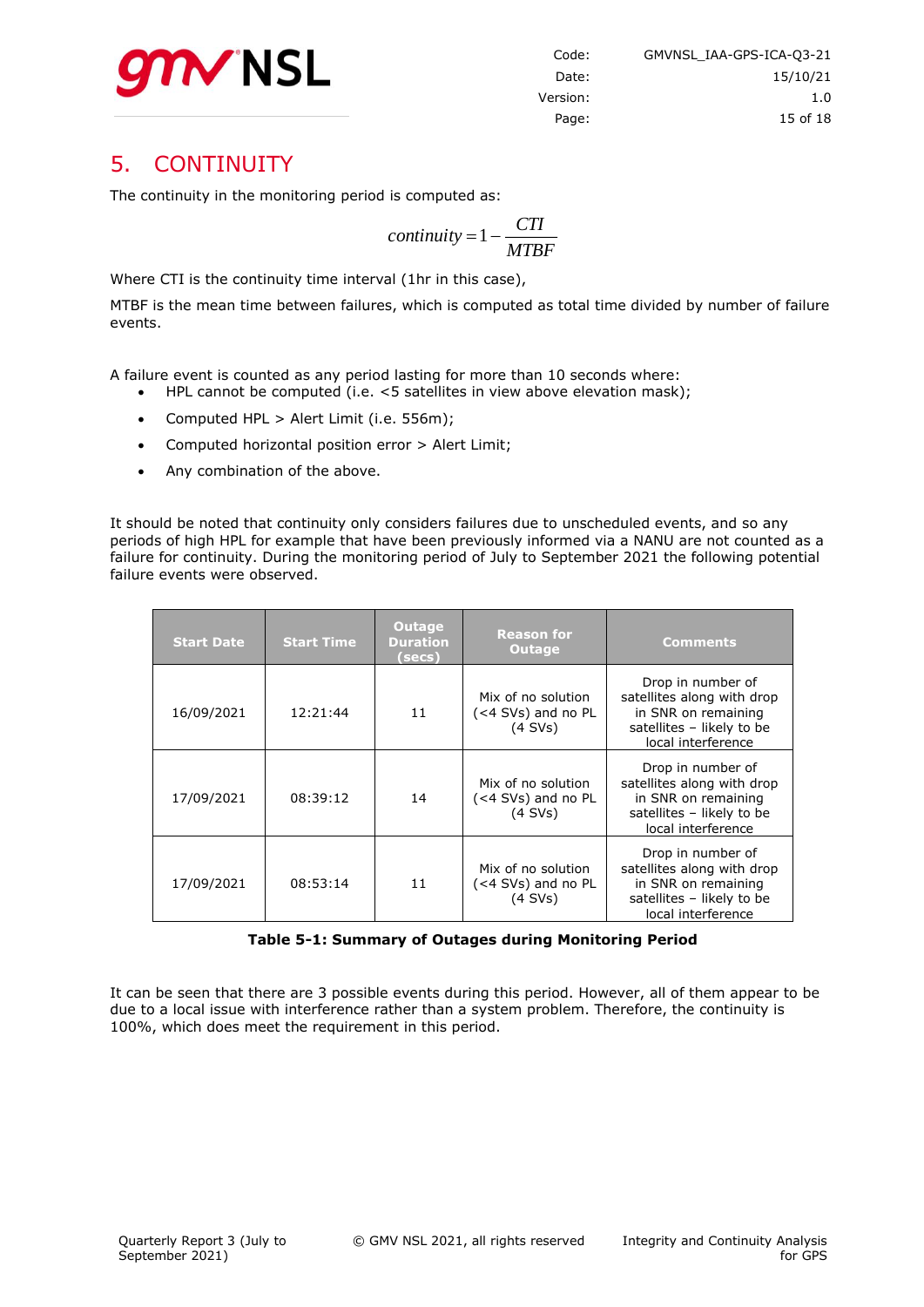

# <span id="page-14-0"></span>5. CONTINUITY

The continuity in the monitoring period is computed as:

$$
continuity = 1 - \frac{CTI}{MTBF}
$$

Where CTI is the continuity time interval (1hr in this case),

MTBF is the mean time between failures, which is computed as total time divided by number of failure events.

A failure event is counted as any period lasting for more than 10 seconds where:

- HPL cannot be computed (i.e. <5 satellites in view above elevation mask);
- Computed HPL > Alert Limit (i.e. 556m);
- Computed horizontal position error > Alert Limit;
- Any combination of the above.

It should be noted that continuity only considers failures due to unscheduled events, and so any periods of high HPL for example that have been previously informed via a NANU are not counted as a failure for continuity. During the monitoring period of July to September 2021 the following potential failure events were observed.

| <b>Start Date</b> | <b>Start Time</b> | Outage,<br><b>Duration</b><br>(secs) | <b>Reason for</b><br><b>Outage</b>                    | <b>Comments</b>                                                                                                           |
|-------------------|-------------------|--------------------------------------|-------------------------------------------------------|---------------------------------------------------------------------------------------------------------------------------|
| 16/09/2021        | 12:21:44          | 11                                   | Mix of no solution<br>(<4 SVs) and no PL<br>$(4$ SVs) | Drop in number of<br>satellites along with drop<br>in SNR on remaining<br>satellites - likely to be<br>local interference |
| 17/09/2021        | 08:39:12          | 14                                   | Mix of no solution<br>(<4 SVs) and no PL<br>$(4$ SVs) | Drop in number of<br>satellites along with drop<br>in SNR on remaining<br>satellites - likely to be<br>local interference |
| 17/09/2021        | 08:53:14          | 11                                   | Mix of no solution<br>(<4 SVs) and no PL<br>$(4$ SVs) | Drop in number of<br>satellites along with drop<br>in SNR on remaining<br>satellites - likely to be<br>local interference |

**Table 5-1: Summary of Outages during Monitoring Period**

<span id="page-14-1"></span>It can be seen that there are 3 possible events during this period. However, all of them appear to be due to a local issue with interference rather than a system problem. Therefore, the continuity is 100%, which does meet the requirement in this period.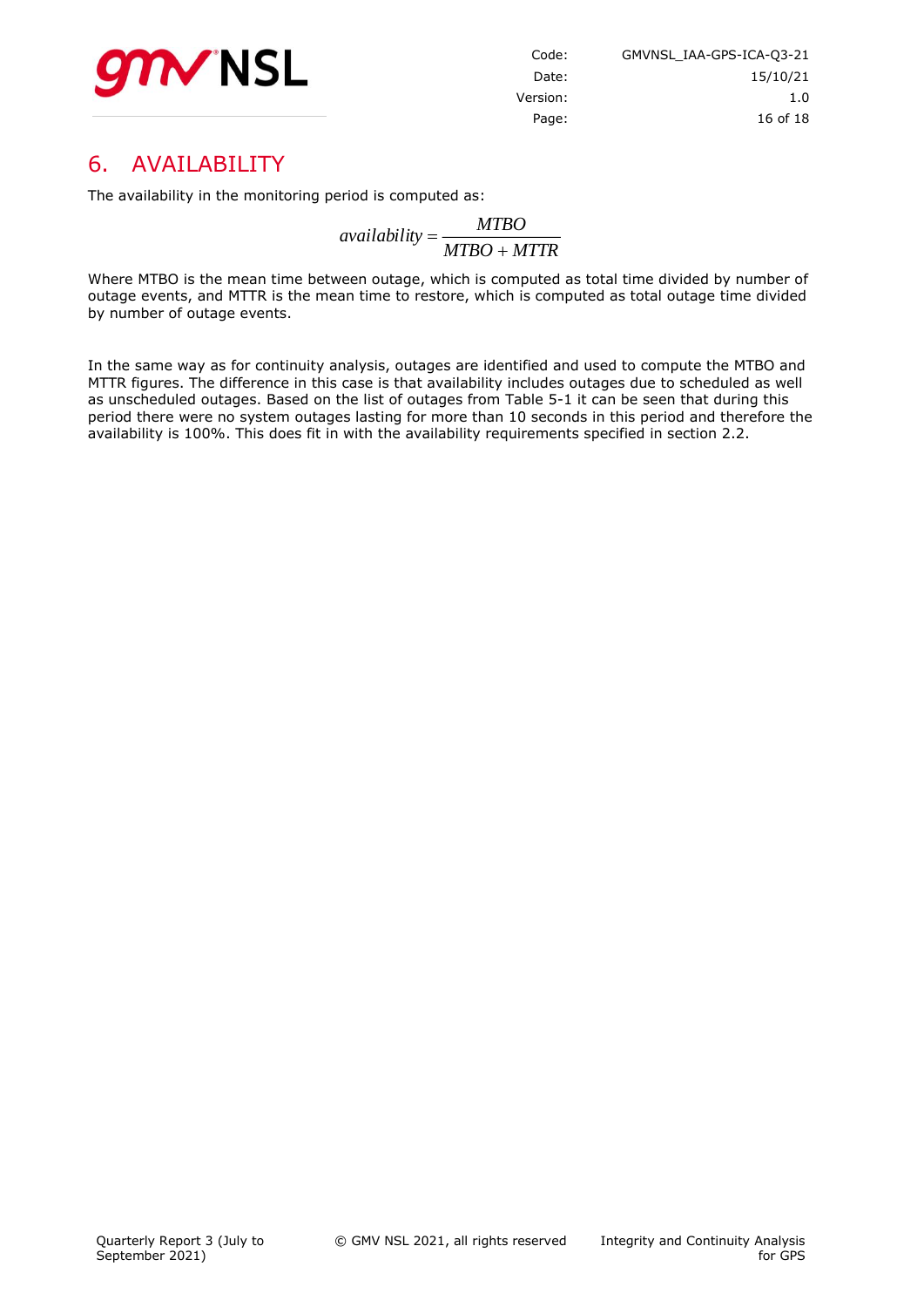

| GMVNSL IAA-GPS-ICA-03-21 | Code:    |
|--------------------------|----------|
| 15/10/21                 | Date:    |
| 1. $\Omega$              | Version: |
| 16 of 18                 | Page:    |

# <span id="page-15-0"></span>6. AVAILABILITY

The availability in the monitoring period is computed as:

*MTBO MTTR MTBO availability*

Where MTBO is the mean time between outage, which is computed as total time divided by number of outage events, and MTTR is the mean time to restore, which is computed as total outage time divided by number of outage events.

In the same way as for continuity analysis, outages are identified and used to compute the MTBO and MTTR figures. The difference in this case is that availability includes outages due to scheduled as well as unscheduled outages. Based on the list of outages from [Table 5-1](#page-14-1) it can be seen that during this period there were no system outages lasting for more than 10 seconds in this period and therefore the availability is 100%. This does fit in with the availability requirements specified in section 2.2.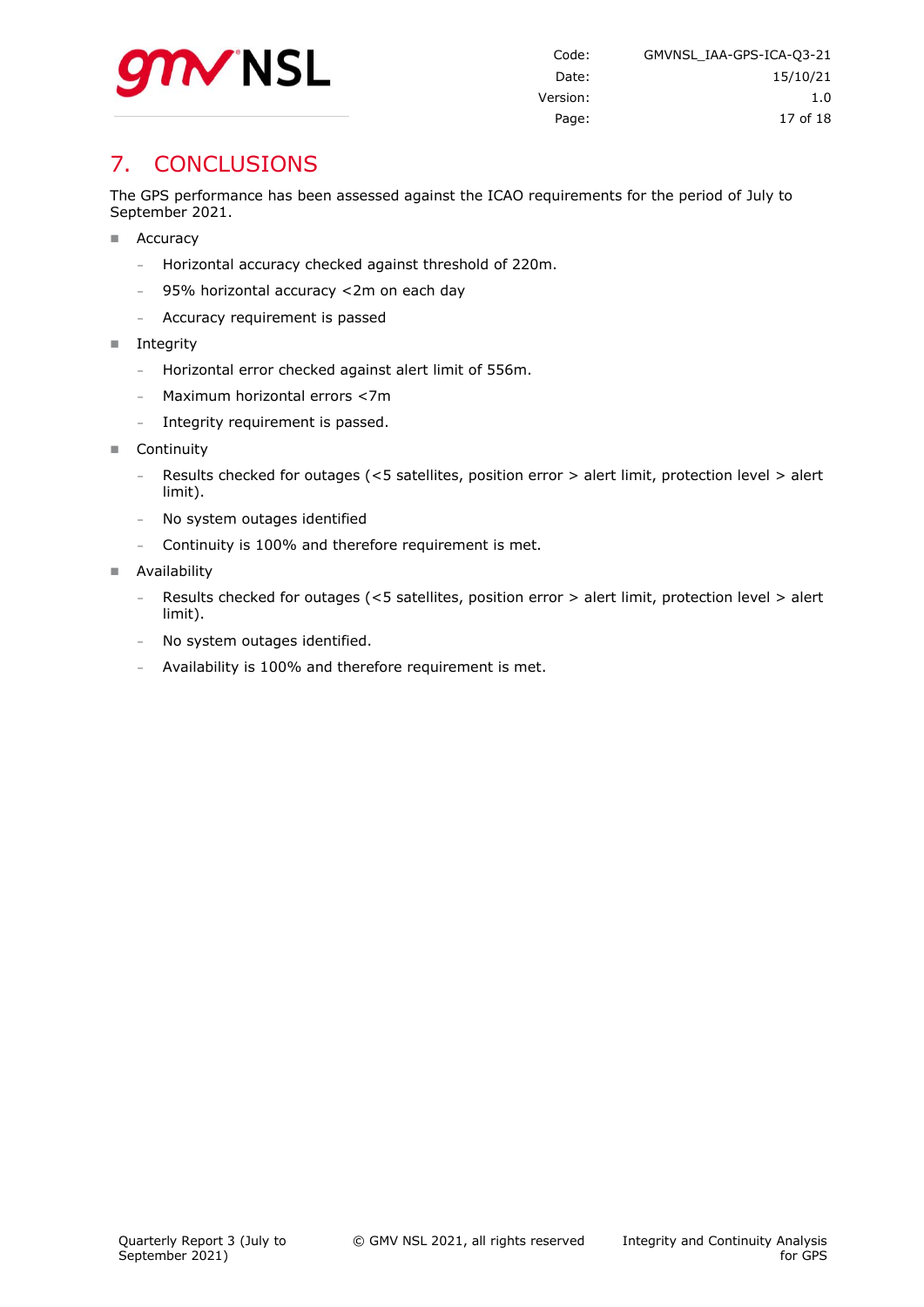

# <span id="page-16-0"></span>7. CONCLUSIONS

The GPS performance has been assessed against the ICAO requirements for the period of July to September 2021.

- Accuracy
	- **-** Horizontal accuracy checked against threshold of 220m.
	- **-** 95% horizontal accuracy <2m on each day
	- **-** Accuracy requirement is passed
- $\blacksquare$  Integrity
	- **-** Horizontal error checked against alert limit of 556m.
	- **-** Maximum horizontal errors <7m
	- **-** Integrity requirement is passed.
- Continuity
	- **-** Results checked for outages (<5 satellites, position error > alert limit, protection level > alert limit).
	- **-** No system outages identified
	- **-** Continuity is 100% and therefore requirement is met.
- **Availability** 
	- **-** Results checked for outages (<5 satellites, position error > alert limit, protection level > alert limit).
	- **-** No system outages identified.
	- **-** Availability is 100% and therefore requirement is met.